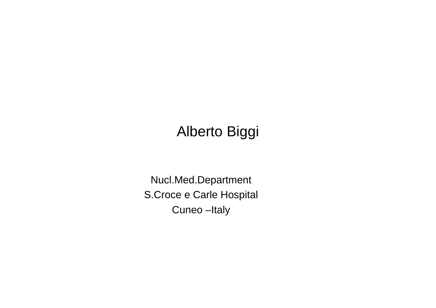### Alberto Biggi

Nucl.Med.DepartmentS.Croce e Carle Hospital Cuneo –Italy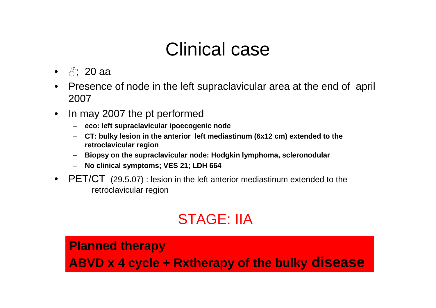## Clinical case

- $\bullet$   $\beta$ ; 20 aa
- $\bullet$  Presence of node in the left supraclavicular area at the end of april 2007
- $\bullet$  In may 2007 the pt performed
	- **eco: left supraclavicular ipoecogenic node**
	- **CT: bulky lesion in the anterior left mediastinum (6x12 cm) extended to the retroclavicular region**
	- **Biopsy on the supraclavicular node: Hodgkin lymphoma, scleronodular** –
	- **No clinical symptoms; VES 21; LDH 664**
- PET/CT  $(29.5.07)$ : lesion in the left anterior mediastinum extended to the ratio region retroclavicular region

## STAGE: IIA

#### **Planned therapy**

**ABVD x 4 cycle + Rxtherapy of the bulky disease**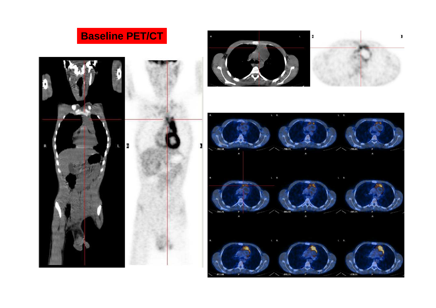





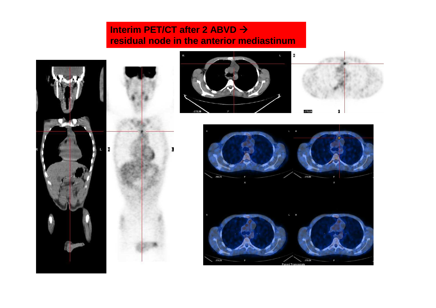#### **Interim PET/CT after 2 ABVD residual node in the anterior mediastinum**

 $\mathbf{I}$ 





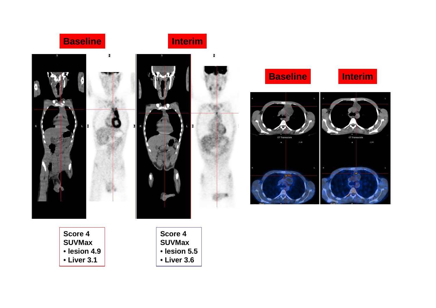



**Score 4 SUVMax**  • **lesion 4.9**• **Liver 3.1**

**Score 4 SUVMax**  • **lesion 5.5**• **Liver 3.6**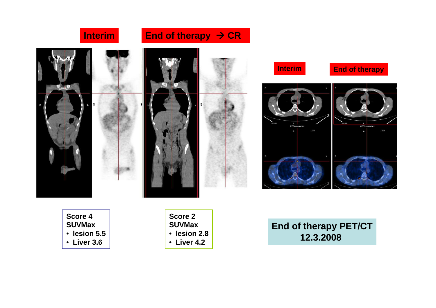

**Score 4 SUVMax** • **lesion 5.5**

• **Liver 3.6**

**Score 2 SUVMax**  • **lesion 2.8**• **Liver 4.2**

**End of therapy PET/CT12.3.2008**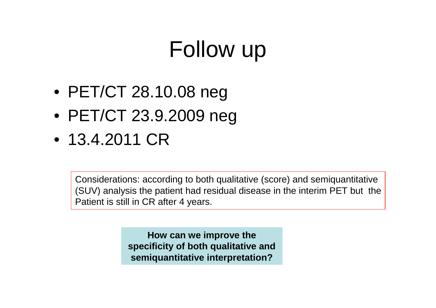# Follow up

- PET/CT 28.10.08 neg
- PET/CT 23.9.2009 neg
- 13.4.2011 CR

Considerations: according to both qualitative (score) and semiquantitative (SUV) analysis the patient had residual disease in the interim PET but thePatient is still in CR after 4 years.

> **How can we improve the specificity of both qualitative and semiquantitative interpretation?**